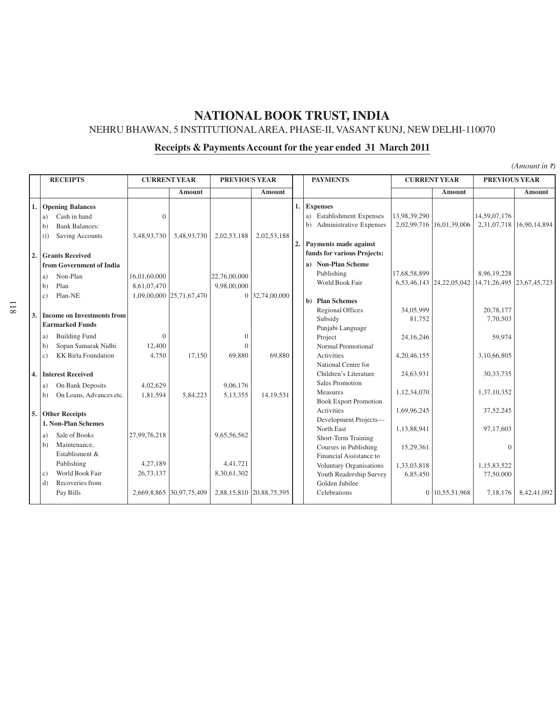NEHRU BHAWAN, 5 INSTITUTIONALAREA, PHASE-II, VASANT KUNJ, NEW DELHI-110070

# **Receipts & Payments Account for the year ended 31 March 2011**

| <b>RECEIPTS</b> |                                                                                                                   |                             | <b>CURRENT YEAR</b>      |                                | <b>PREVIOUS YEAR</b>     |                      | <b>PAYMENTS</b>                                                                                     |                               | <b>CURRENT YEAR</b>      | <b>PREVIOUS YEAR</b>                           |                          |
|-----------------|-------------------------------------------------------------------------------------------------------------------|-----------------------------|--------------------------|--------------------------------|--------------------------|----------------------|-----------------------------------------------------------------------------------------------------|-------------------------------|--------------------------|------------------------------------------------|--------------------------|
|                 |                                                                                                                   |                             | Amount                   |                                | Amount                   |                      |                                                                                                     |                               | Amount                   |                                                | Amount                   |
| 1.              | <b>Opening Balances</b><br>Cash in hand<br>a)<br><b>Bank Balances:</b><br>b)<br><b>Saving Accounts</b><br>(i)     | $\Omega$<br>3,48,93,730     | 3,48,93,730              | 2,02,53,188                    | 2,02,53,188              | 1.<br>$\overline{2}$ | <b>Expenses</b><br>a) Establishment Expenses<br>b) Administrative Expenses<br>Payments made against | 13,98,39,290                  | 2,02,99,716 16,01,39,006 | 14,59,07,176                                   | 2,31,07,718 16,90,14,894 |
| 2.              | <b>Grants Received</b>                                                                                            |                             |                          |                                |                          |                      | funds for various Projects:                                                                         |                               |                          |                                                |                          |
|                 | from Government of India<br>Non-Plan<br>a)<br>Plan<br>b)                                                          | 16,01,60,000<br>8,61,07,470 |                          | 22,76,00,000<br>9,98,00,000    |                          |                      | a) Non-Plan Scheme<br>Publishing<br>World Book Fair                                                 | 17,68,58,899                  | 6,53,46,143 24,22,05,042 | 8,96,19,228<br>14, 71, 26, 495 23, 67, 45, 723 |                          |
| 3.              | Plan-NE<br>$\mathcal{C}$ )<br><b>Income on Investments from</b>                                                   |                             | 1,09,00,000 25,71,67,470 |                                | 0 32,74,00,000           |                      | b) Plan Schemes<br><b>Regional Offices</b>                                                          | 34,05,999                     |                          | 20,78,177                                      |                          |
|                 | <b>Earmarked Funds</b>                                                                                            |                             |                          |                                |                          |                      | Subsidy                                                                                             | 81,752                        |                          | 7,70,503                                       |                          |
|                 | <b>Building Fund</b><br>a)<br>Sopan Samarak Nidhi<br>$\mathbf{b}$<br><b>KK Birla Foundation</b><br>$\mathbf{c}$ ) | $\Omega$<br>12,400<br>4,750 | 17,150                   | $\Omega$<br>$\Omega$<br>69,880 | 69,880                   |                      | Punjabi Language<br>Project<br>Normal Promotional<br>Activities<br>National Centre for              | 24, 16, 246<br>4, 20, 46, 155 |                          | 59,974<br>3,10,66,805                          |                          |
| 4.              | <b>Interest Received</b><br>On Bank Deposits<br>a)                                                                | 4,02,629                    |                          | 9,06,176                       |                          |                      | Children's Literature<br><b>Sales Promotion</b>                                                     | 24,63,931                     |                          | 30, 33, 735                                    |                          |
| 5.              | On Loans, Advances etc.<br>b)<br><b>Other Receipts</b>                                                            | 1,81,594                    | 5,84,223                 | 5,13,355                       | 14.19.531                |                      | Measures<br><b>Book Export Promotion</b><br>Activities                                              | 1,12,34,070<br>1,69,96,245    |                          | 1,37,10,352<br>37, 52, 245                     |                          |
|                 | 1. Non-Plan Schemes                                                                                               |                             |                          |                                |                          |                      | Development Projects-                                                                               |                               |                          |                                                |                          |
|                 | Sale of Books<br>a)<br>Maintenance,<br>b)<br>Establisment &                                                       | 27,99,76,218                |                          | 9,65,56,562                    |                          |                      | North East<br>Short-Term Training<br>Courses in Publishing<br>Financial Assistance to               | 1,13,88,941<br>15,29,361      |                          | 97,17,603<br>$\overline{0}$                    |                          |
|                 | Publishing<br>World Book Fair<br>c)<br>Recoveries from<br>d)<br>Pay Bills                                         | 4,27,189<br>26,73,137       | 2,669,8,865 30,97,75,409 | 4.41.721<br>8,30,61,302        | 2,88,15,810 20,88,75,395 |                      | Voluntary Organisations<br>Youth Readership Survey<br>Golden Jubilee<br>Celebrations                | 1,33,03,818<br>6,85,450       | 0 10,55,51,968           | 1,15,83,522<br>77,50,000<br>7,18,176           | 8.42.41.092              |
|                 |                                                                                                                   |                             |                          |                                |                          |                      |                                                                                                     |                               |                          |                                                |                          |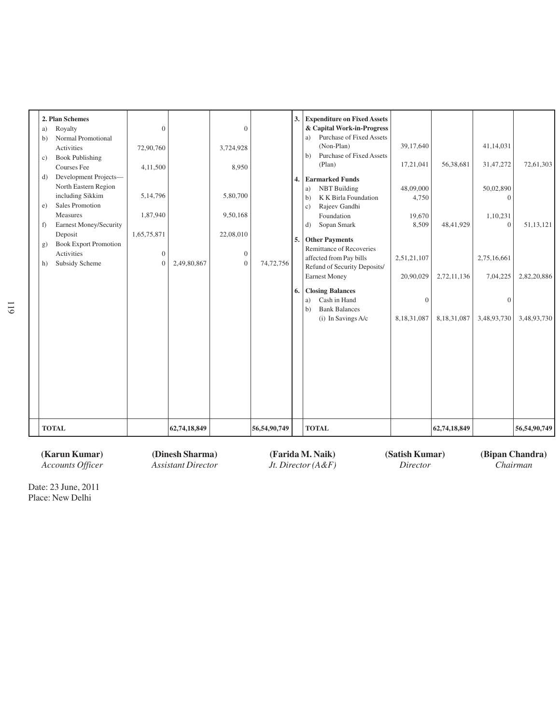| <b>Book Publishing</b><br>$\mathbf{c}$ )<br>d)<br>e)<br>f<br>g)<br>h) | Courses Fee<br>Development Projects-<br>North Eastern Region<br>including Sikkim<br>Sales Promotion<br>Measures<br><b>Earnest Money/Security</b><br>Deposit<br><b>Book Export Promotion</b><br>Activities<br>Subsidy Scheme | 4,11,500<br>5, 14, 796<br>1,87,940<br>1,65,75,871<br>$\boldsymbol{0}$<br>$\theta$ | 2,49,80,867  | 8,950<br>5,80,700<br>9,50,168<br>22,08,010<br>$\theta$<br>$\theta$ | 74,72,756    | 6. | (Non-Plan)<br>Purchase of Fixed Assets<br>h)<br>(Plan)<br>4. Earmarked Funds<br><b>NBT</b> Building<br>a)<br>K K Birla Foundation<br>b)<br>Rajeev Gandhi<br>$\mathbf{c})$<br>Foundation<br>Sopan Smark<br>d)<br>5. Other Payments<br>Remittance of Recoveries<br>affected from Pay bills<br>Refund of Security Deposits/<br>Earnest Money<br><b>Closing Balances</b><br>Cash in Hand<br>a)<br><b>Bank Balances</b><br>b)<br>(i) In Savings A/c | 39,17,640<br>17,21,041<br>48,09,000<br>4,750<br>19,670<br>8,509<br>2,51,21,107<br>20,90,029<br>$\mathbf{0}$<br>8,18,31,087 | 56,38,681<br>48,41,929<br>2,72,11,136<br>8,18,31,087 | 41,14,031<br>31,47,272<br>50,02,890<br>$\theta$<br>1,10,231<br>$\mathbf{0}$<br>2,75,16,661<br>7,04,225<br>$\boldsymbol{0}$<br>3,48,93,730 | 72,61,303<br>51, 13, 121<br>2,82,20,886<br>3,48,93,730 |
|-----------------------------------------------------------------------|-----------------------------------------------------------------------------------------------------------------------------------------------------------------------------------------------------------------------------|-----------------------------------------------------------------------------------|--------------|--------------------------------------------------------------------|--------------|----|------------------------------------------------------------------------------------------------------------------------------------------------------------------------------------------------------------------------------------------------------------------------------------------------------------------------------------------------------------------------------------------------------------------------------------------------|----------------------------------------------------------------------------------------------------------------------------|------------------------------------------------------|-------------------------------------------------------------------------------------------------------------------------------------------|--------------------------------------------------------|
| <b>TOTAL</b>                                                          |                                                                                                                                                                                                                             |                                                                                   | 62,74,18,849 |                                                                    | 56,54,90,749 |    | <b>TOTAL</b>                                                                                                                                                                                                                                                                                                                                                                                                                                   |                                                                                                                            | 62,74,18,849                                         |                                                                                                                                           | 56,54,90,749                                           |

**(Karun Kumar) (Dinesh Sharma) (Farida M. Naik) (Satish Kumar) (Bipan Chandra)** *Assistant Director Jt. Director* (A&F) *Director*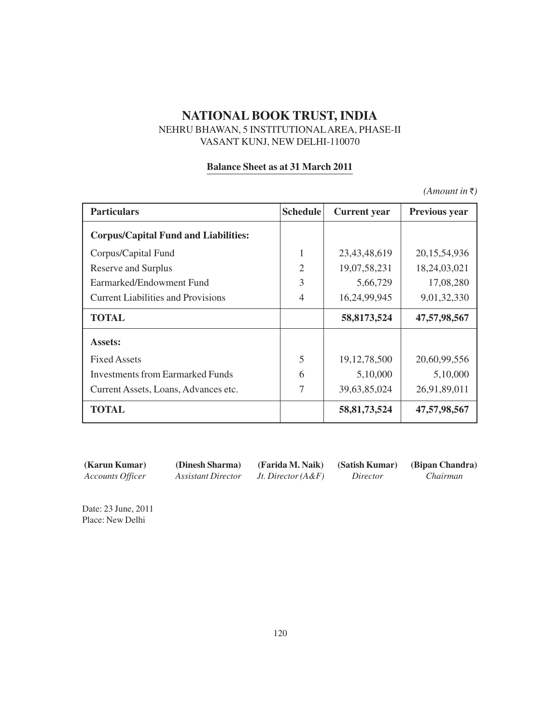## NEHRU BHAWAN, 5 INSTITUTIONALAREA, PHASE-II VASANT KUNJ, NEW DELHI-110070

### **Balance Sheet as at 31 March 2011**

 $(A$ *mount in*  $\bar{\tau}$ )

| <b>Particulars</b>                          | <b>Schedule</b> | <b>Current</b> year | <b>Previous year</b> |
|---------------------------------------------|-----------------|---------------------|----------------------|
| <b>Corpus/Capital Fund and Liabilities:</b> |                 |                     |                      |
| Corpus/Capital Fund                         |                 | 23, 43, 48, 619     | 20, 15, 54, 936      |
| <b>Reserve and Surplus</b>                  | $\overline{2}$  | 19,07,58,231        | 18,24,03,021         |
| Earmarked/Endowment Fund                    | 3               | 5,66,729            | 17,08,280            |
| <b>Current Liabilities and Provisions</b>   | 4               | 16,24,99,945        | 9,01,32,330          |
| <b>TOTAL</b>                                |                 | 58,8173,524         | 47, 57, 98, 567      |
| Assets:                                     |                 |                     |                      |
| <b>Fixed Assets</b>                         | 5               | 19, 12, 78, 500     | 20,60,99,556         |
| <b>Investments from Earmarked Funds</b>     | 6               | 5,10,000            | 5,10,000             |
| Current Assets, Loans, Advances etc.        | 7               | 39,63,85,024        | 26,91,89,011         |
| <b>TOTAL</b>                                |                 | 58, 81, 73, 524     | 47, 57, 98, 567      |

**(Karun Kumar) (Dinesh Sharma) (Farida M. Naik) (Satish Kumar) (Bipan Chandra)**

*Accounts Officer Assistant Director Jt. Director (A&F) Director Chairman*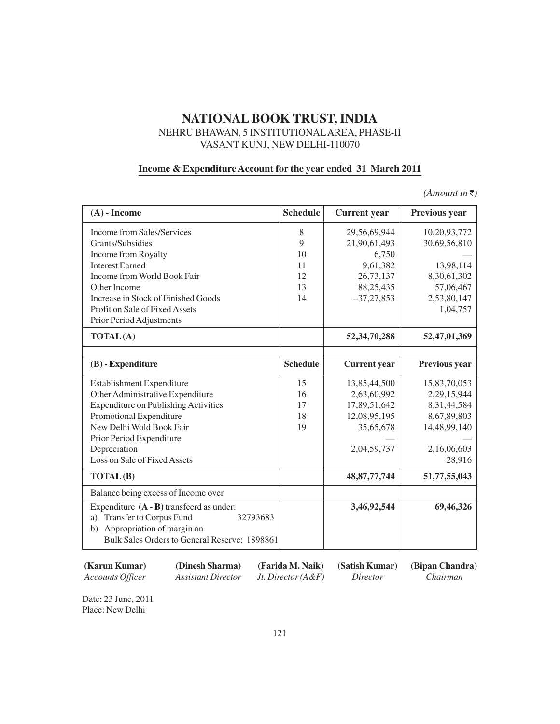## NEHRU BHAWAN, 5 INSTITUTIONALAREA, PHASE-II VASANT KUNJ, NEW DELHI-110070

### **Income & Expenditure Account for the year ended 31 March 2011**

 $(A$ *mount in* $\bar{\tau}$ )

| $(A)$ - Income                                                                                                                                                                     | <b>Schedule</b> | <b>Current</b> year | <b>Previous year</b> |
|------------------------------------------------------------------------------------------------------------------------------------------------------------------------------------|-----------------|---------------------|----------------------|
| Income from Sales/Services                                                                                                                                                         | 8               | 29,56,69,944        | 10,20,93,772         |
| Grants/Subsidies                                                                                                                                                                   | 9               | 21,90,61,493        | 30,69,56,810         |
| Income from Royalty                                                                                                                                                                | 10              | 6,750               |                      |
| <b>Interest Earned</b>                                                                                                                                                             | 11              | 9,61,382            | 13,98,114            |
| Income from World Book Fair                                                                                                                                                        | 12              | 26,73,137           | 8,30,61,302          |
| Other Income                                                                                                                                                                       | 13              | 88,25,435           | 57,06,467            |
| Increase in Stock of Finished Goods                                                                                                                                                | 14              | $-37,27,853$        | 2,53,80,147          |
| Profit on Sale of Fixed Assets                                                                                                                                                     |                 |                     | 1,04,757             |
| Prior Period Adjustments                                                                                                                                                           |                 |                     |                      |
| TOTAL(A)                                                                                                                                                                           |                 | 52, 34, 70, 288     | 52,47,01,369         |
|                                                                                                                                                                                    |                 |                     |                      |
| $(B)$ - Expenditure                                                                                                                                                                | <b>Schedule</b> | <b>Current</b> year | Previous year        |
| Establishment Expenditure                                                                                                                                                          | 15              | 13,85,44,500        | 15,83,70,053         |
| Other Administrative Expenditure                                                                                                                                                   | 16              | 2,63,60,992         | 2,29,15,944          |
| <b>Expenditure on Publishing Activities</b>                                                                                                                                        | 17              | 17,89,51,642        | 8, 31, 44, 584       |
| Promotional Expenditure                                                                                                                                                            | 18              | 12,08,95,195        | 8,67,89,803          |
| New Delhi Wold Book Fair                                                                                                                                                           | 19              | 35,65,678           | 14,48,99,140         |
| Prior Period Expenditure                                                                                                                                                           |                 |                     |                      |
| Depreciation                                                                                                                                                                       |                 | 2,04,59,737         | 2,16,06,603          |
| Loss on Sale of Fixed Assets                                                                                                                                                       |                 |                     | 28,916               |
| <b>TOTAL(B)</b>                                                                                                                                                                    |                 | 48, 87, 77, 744     | 51,77,55,043         |
| Balance being excess of Income over                                                                                                                                                |                 |                     |                      |
| Expenditure $(A - B)$ transferd as under:<br><b>Transfer to Corpus Fund</b><br>32793683<br>a)<br>Appropriation of margin on<br>b)<br>Bulk Sales Orders to General Reserve: 1898861 |                 | 3,46,92,544         | 69,46,326            |

**<sup>(</sup>Karun Kumar) (Dinesh Sharma) (Farida M. Naik) (Satish Kumar) (Bipan Chandra)**

*Accounts Officer Assistant Director Jt. Director (A&F) Director Chairman*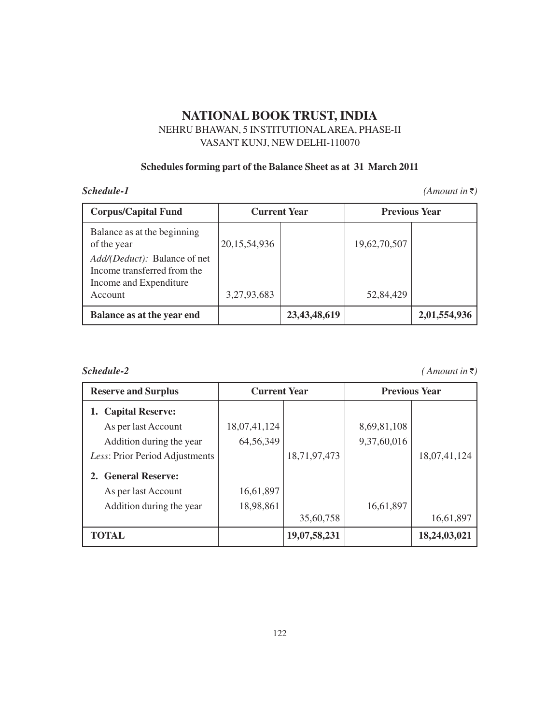NEHRU BHAWAN, 5 INSTITUTIONALAREA, PHASE-II VASANT KUNJ, NEW DELHI-110070

## **Schedules forming part of the Balance Sheet as at 31 March 2011**

 **(Amount in**  $\bar{\tau}$ **)** 

| <b>Corpus/Capital Fund</b>                                                                                                                 |                 | <b>Current Year</b> | <b>Previous Year</b> |              |  |
|--------------------------------------------------------------------------------------------------------------------------------------------|-----------------|---------------------|----------------------|--------------|--|
| Balance as at the beginning<br>of the year<br><i>Add/(Deduct):</i> Balance of net<br>Income transferred from the<br>Income and Expenditure | 20, 15, 54, 936 |                     | 19,62,70,507         |              |  |
| Account                                                                                                                                    | 3,27,93,683     |                     | 52,84,429            |              |  |
| Balance as at the year end                                                                                                                 |                 | 23, 43, 48, 619     |                      | 2,01,554,936 |  |

*Schedule-2 ( Amount in* `*)*

| <b>Reserve and Surplus</b>     | <b>Current Year</b> |              | <b>Previous Year</b> |              |  |
|--------------------------------|---------------------|--------------|----------------------|--------------|--|
| 1. Capital Reserve:            |                     |              |                      |              |  |
| As per last Account            | 18,07,41,124        |              | 8,69,81,108          |              |  |
| Addition during the year       | 64, 56, 349         |              | 9,37,60,016          |              |  |
| Less: Prior Period Adjustments |                     | 18,71,97,473 |                      | 18,07,41,124 |  |
| 2. General Reserve:            |                     |              |                      |              |  |
| As per last Account            | 16,61,897           |              |                      |              |  |
| Addition during the year       | 18,98,861           |              | 16,61,897            |              |  |
|                                |                     | 35,60,758    |                      | 16,61,897    |  |
| <b>TOTAL</b>                   |                     | 19,07,58,231 |                      | 18,24,03,021 |  |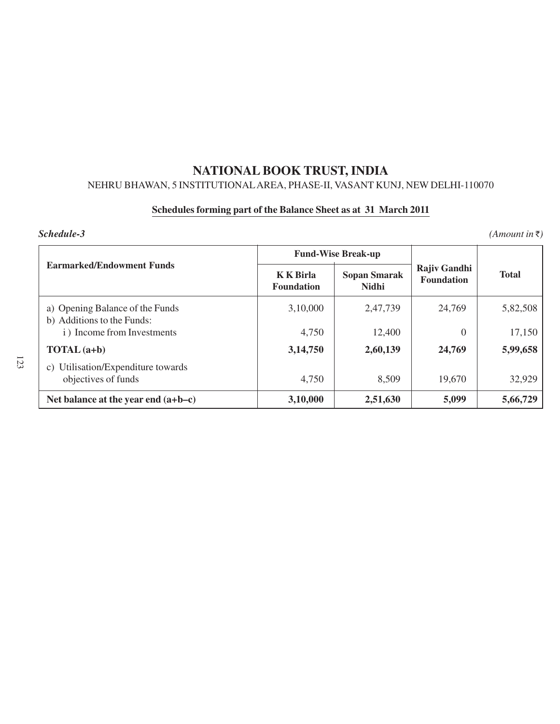# NEHRU BHAWAN, 5 INSTITUTIONALAREA, PHASE-II, VASANT KUNJ, NEW DELHI-110070

# **Schedules forming part of the Balance Sheet as at 31 March 2011**

|                                                               |                                       | <b>Fund-Wise Break-up</b>           |                                   |              |
|---------------------------------------------------------------|---------------------------------------|-------------------------------------|-----------------------------------|--------------|
| <b>Earmarked/Endowment Funds</b>                              | <b>K</b> K Birla<br><b>Foundation</b> | <b>Sopan Smarak</b><br><b>Nidhi</b> | Rajiv Gandhi<br><b>Foundation</b> | <b>Total</b> |
| a) Opening Balance of the Funds<br>b) Additions to the Funds: | 3,10,000                              | 2,47,739                            | 24,769                            | 5,82,508     |
| i) Income from Investments                                    | 4,750                                 | 12,400                              | 0                                 | 17,150       |
| $\textbf{TOTAL}$ (a+b)                                        | 3,14,750                              | 2,60,139                            | 24,769                            | 5,99,658     |
| c) Utilisation/Expenditure towards<br>objectives of funds     | 4,750                                 | 8,509                               | 19,670                            | 32,929       |
| Net balance at the year end $(a+b-c)$                         | 3,10,000                              | 2,51,630                            | 5,099                             | 5,66,729     |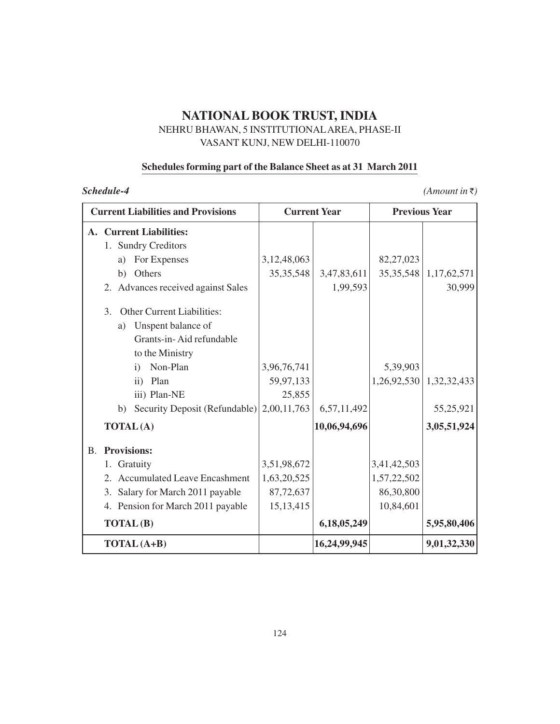## NEHRU BHAWAN, 5 INSTITUTIONALAREA, PHASE-II VASANT KUNJ, NEW DELHI-110070

# **Schedules forming part of the Balance Sheet as at 31 March 2011**

| Schedule-4                                                                                                         |                |                     |                      | $(Amount \in \overline{\mathcal{F}})$ |  |
|--------------------------------------------------------------------------------------------------------------------|----------------|---------------------|----------------------|---------------------------------------|--|
| <b>Current Liabilities and Provisions</b>                                                                          |                | <b>Current Year</b> | <b>Previous Year</b> |                                       |  |
| A. Current Liabilities:<br>1. Sundry Creditors                                                                     |                |                     |                      |                                       |  |
| For Expenses<br>a)                                                                                                 | 3, 12, 48, 063 |                     | 82,27,023            |                                       |  |
| Others<br>b)                                                                                                       | 35, 35, 548    | 3,47,83,611         | 35, 35, 548          | 1,17,62,571                           |  |
| 2. Advances received against Sales                                                                                 |                | 1,99,593            |                      | 30,999                                |  |
| <b>Other Current Liabilities:</b><br>3.<br>Unspent balance of<br>a)<br>Grants-in-Aid refundable<br>to the Ministry |                |                     |                      |                                       |  |
| Non-Plan<br>$\mathbf{i}$                                                                                           | 3,96,76,741    |                     | 5,39,903             |                                       |  |
| Plan<br>$\overline{ii}$ )                                                                                          | 59,97,133      |                     | 1,26,92,530          | 1,32,32,433                           |  |
| iii) Plan-NE                                                                                                       | 25,855         |                     |                      |                                       |  |
| Security Deposit (Refundable) 2,00,11,763<br>b)                                                                    |                | 6,57,11,492         |                      | 55,25,921                             |  |
| <b>TOTAL(A)</b>                                                                                                    |                | 10,06,94,696        |                      | 3,05,51,924                           |  |
| <b>Provisions:</b><br><b>B.</b>                                                                                    |                |                     |                      |                                       |  |
| Gratuity<br>1.                                                                                                     | 3,51,98,672    |                     | 3,41,42,503          |                                       |  |
| 2. Accumulated Leave Encashment                                                                                    | 1,63,20,525    |                     | 1,57,22,502          |                                       |  |
| 3. Salary for March 2011 payable                                                                                   | 87,72,637      |                     | 86,30,800            |                                       |  |
| 4. Pension for March 2011 payable                                                                                  | 15, 13, 415    |                     | 10,84,601            |                                       |  |
| <b>TOTAL(B)</b>                                                                                                    |                | 6,18,05,249         |                      | 5,95,80,406                           |  |
| TOTAL (A+B)                                                                                                        |                | 16,24,99,945        |                      | 9,01,32,330                           |  |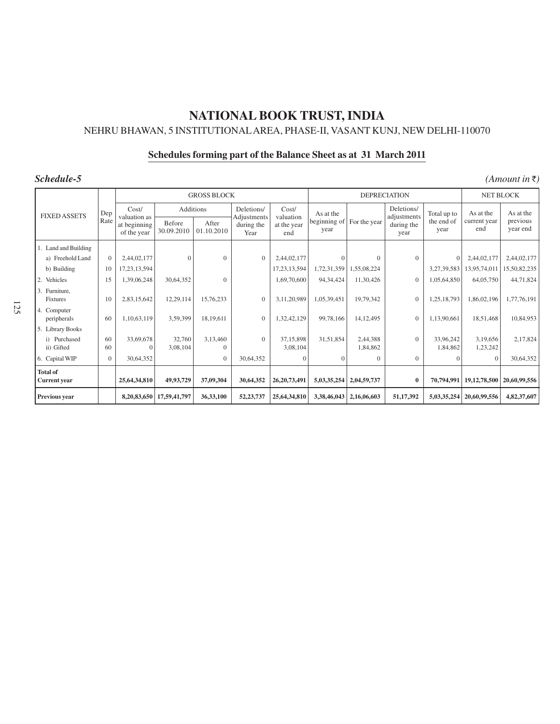# **NATIONAL BOOK TRUST, INDIA** NEHRU BHAWAN, 5 INSTITUTIONALAREA, PHASE-II, VASANT KUNJ, NEW DELHI-110070

# **Schedules forming part of the Balance Sheet as at 31 March 2011**

| Schedule-5<br>$(Amount$ in ₹)          |                |                             |                             |                          |                                   |                       |                                   |                      |                           |                       |                      |                      |
|----------------------------------------|----------------|-----------------------------|-----------------------------|--------------------------|-----------------------------------|-----------------------|-----------------------------------|----------------------|---------------------------|-----------------------|----------------------|----------------------|
|                                        |                | <b>GROSS BLOCK</b>          |                             |                          |                                   |                       | <b>DEPRECIATION</b>               |                      |                           |                       | NET BLOCK            |                      |
| <b>FIXED ASSETS</b>                    | Dep            | Cost/<br>valuation as       | <b>Additions</b>            |                          | Deletions/                        | Cost/<br>valuation    | As at the<br>beginning of<br>year |                      | Deletions/<br>adjustments | Total up to           | As at the            | As at the            |
|                                        | Rate           | at beginning<br>of the year | <b>Before</b><br>30.09.2010 | After<br>01.10.2010      | Adjustments<br>during the<br>Year | at the year<br>end    |                                   | For the year         | during the<br>year        | the end of<br>year    | current year<br>end  | previous<br>year end |
| 1. Land and Building                   |                |                             |                             |                          |                                   |                       |                                   |                      |                           |                       |                      |                      |
| a) Freehold Land                       | $\Omega$       | 2,44,02,177                 | $\Omega$                    | $\mathbf{0}$             | $\overline{0}$                    | 2,44,02,177           | $\Omega$                          | $\Omega$             | $\Omega$                  | $\Omega$              | 2,44,02,177          | 2,44,02,177          |
| b) Building                            | 10             | 17, 23, 13, 594             |                             |                          |                                   | 17, 23, 13, 594       | 1,72,31,359                       | 1,55,08,224          |                           | 3,27,39,583           | 13,95,74,011         | 15,50,82,235         |
| 2. Vehicles                            | 15             | 1,39,06,248                 | 30,64,352                   | $\mathbf{0}$             |                                   | 1,69,70,600           | 94, 34, 424                       | 11,30,426            | $\mathbf{0}$              | 1,05,64,850           | 64,05,750            | 44,71,824            |
| 3. Furniture,<br><b>Fixtures</b>       | 10             | 2,83,15,642                 | 12,29,114                   | 15,76,233                | $\mathbf{0}$                      | 3,11,20,989           | 1,05,39,451                       | 19,79,342            | $\mathbf{0}$              | 1,25,18,793           | 1,86,02,196          | 1,77,76,191          |
| 4. Computer<br>peripherals             | 60             | 1,10,63,119                 | 3,59,399                    | 18,19,611                | $\overline{0}$                    | 1,32,42,129           | 99,78,166                         | 14, 12, 495          | $\mathbf{0}$              | 1,13,90,661           | 18,51,468            | 10,84,953            |
| 5. Library Books                       |                |                             |                             |                          |                                   |                       |                                   |                      |                           |                       |                      |                      |
| i) Purchased<br>ii) Gifted             | 60<br>60       | 33,69,678<br>$\Omega$       | 32,760<br>3.08.104          | 3,13,460<br>$\mathbf{0}$ | $\mathbf{0}$                      | 37,15,898<br>3,08,104 | 31,51,854                         | 2,44,388<br>1,84,862 | $\mathbf{0}$              | 33,96,242<br>1,84,862 | 3,19,656<br>1,23,242 | 2,17,824             |
| 6. Capital WIP                         | $\overline{0}$ | 30,64,352                   |                             | $\overline{0}$           | 30,64,352                         | $\Omega$              | $\Omega$                          | $\overline{0}$       | $\mathbf{0}$              |                       | $\overline{0}$       | 30,64,352            |
| <b>Total of</b><br><b>Current</b> year |                | 25,64,34,810                | 49,93,729                   | 37,09,304                | 30,64,352                         | 26, 20, 73, 491       | 5,03,35,254                       | 2,04,59,737          | $\bf{0}$                  | 70,794,991            | 19, 12, 78, 500      | 20,60,99,556         |
| Previous year                          |                | 8,20,83,650                 | 17,59,41,797                | 36,33,100                | 52,23,737                         | 25,64,34,810          | 3,38,46,043                       | 2,16,06,603          | 51,17,392                 | 5,03,35,254           | 20,60,99,556         | 4,82,37,607          |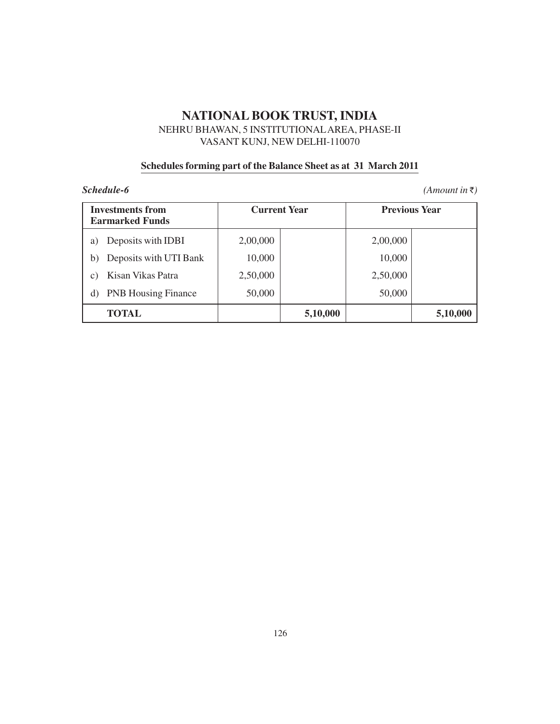NEHRU BHAWAN, 5 INSTITUTIONALAREA, PHASE-II VASANT KUNJ, NEW DELHI-110070

## **Schedules forming part of the Balance Sheet as at 31 March 2011**

| <b>Investments from</b><br><b>Earmarked Funds</b> | <b>Current Year</b> |          | <b>Previous Year</b> |          |  |
|---------------------------------------------------|---------------------|----------|----------------------|----------|--|
| Deposits with IDBI<br>a)                          | 2,00,000            |          | 2,00,000             |          |  |
| Deposits with UTI Bank<br>b)                      | 10,000              |          | 10,000               |          |  |
| Kisan Vikas Patra<br>C)                           | 2,50,000            |          | 2,50,000             |          |  |
| <b>PNB Housing Finance</b><br>d)                  | 50,000              |          | 50,000               |          |  |
| <b>TOTAL</b>                                      |                     | 5,10,000 |                      | 5,10,000 |  |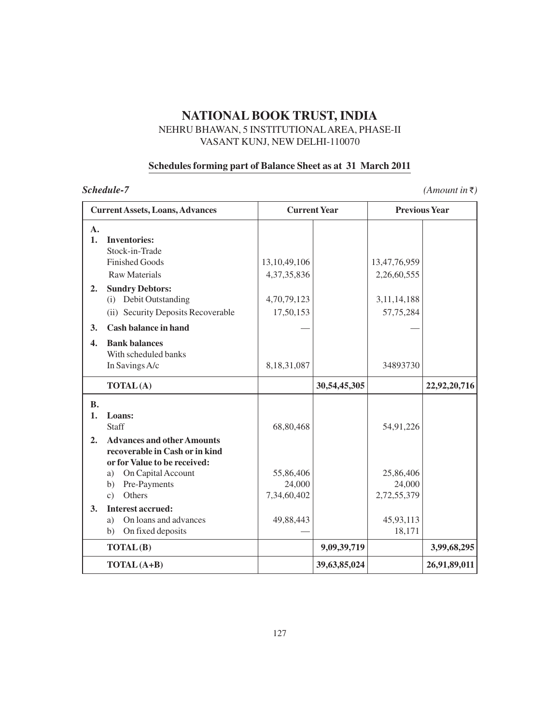## NEHRU BHAWAN, 5 INSTITUTIONALAREA, PHASE-II VASANT KUNJ, NEW DELHI-110070

## **Schedules forming part of Balance Sheet as at 31 March 2011**

|                      | <b>Current Assets, Loans, Advances</b>                                                              | <b>Current Year</b>                |              | <b>Previous Year</b>               |              |  |
|----------------------|-----------------------------------------------------------------------------------------------------|------------------------------------|--------------|------------------------------------|--------------|--|
| $\mathbf{A}$ .<br>1. | <b>Inventories:</b><br>Stock-in-Trade                                                               |                                    |              |                                    |              |  |
|                      | <b>Finished Goods</b><br><b>Raw Materials</b>                                                       | 13, 10, 49, 106<br>4, 37, 35, 836  |              | 13,47,76,959<br>2,26,60,555        |              |  |
| 2.                   | <b>Sundry Debtors:</b><br>(i) Debit Outstanding<br>(ii) Security Deposits Recoverable               | 4,70,79,123<br>17,50,153           |              | 3, 11, 14, 188<br>57,75,284        |              |  |
| 3.                   | <b>Cash balance in hand</b>                                                                         |                                    |              |                                    |              |  |
| $\overline{4}$ .     | <b>Bank balances</b><br>With scheduled banks<br>In Savings A/c                                      | 8, 18, 31, 087                     |              | 34893730                           |              |  |
|                      | <b>TOTAL(A)</b>                                                                                     |                                    | 30,54,45,305 |                                    | 22,92,20,716 |  |
| <b>B.</b><br>1.      | Loans:<br>Staff                                                                                     | 68,80,468                          |              | 54,91,226                          |              |  |
| 2.                   | <b>Advances and other Amounts</b><br>recoverable in Cash or in kind<br>or for Value to be received: |                                    |              |                                    |              |  |
|                      | On Capital Account<br>a)<br>Pre-Payments<br>b)<br>Others<br>$\mathbf{c}$ )                          | 55,86,406<br>24,000<br>7,34,60,402 |              | 25,86,406<br>24,000<br>2,72,55,379 |              |  |
| 3.                   | <b>Interest accrued:</b><br>On loans and advances<br>a)<br>On fixed deposits<br>b)                  | 49,88,443                          |              | 45,93,113<br>18,171                |              |  |
|                      | TOTAL(B)                                                                                            |                                    | 9,09,39,719  |                                    | 3,99,68,295  |  |
|                      | TOTAL (A+B)                                                                                         |                                    | 39,63,85,024 |                                    | 26,91,89,011 |  |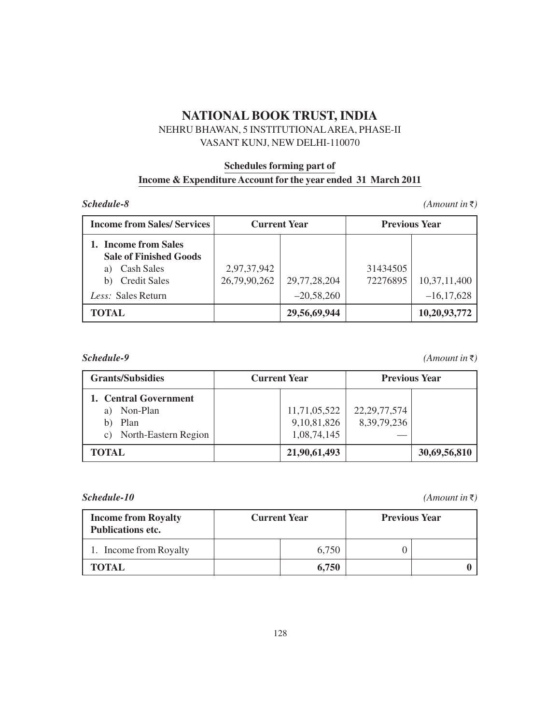## NEHRU BHAWAN, 5 INSTITUTIONALAREA, PHASE-II VASANT KUNJ, NEW DELHI-110070

# **Schedules forming part of Income & Expenditure Account for the year ended 31 March 2011**

#### **(Amount in**  $\bar{\tau}$ **)**

| <b>Income from Sales/ Services</b>                                                                                                  | <b>Current Year</b>         |                              | <b>Previous Year</b> |                                |  |
|-------------------------------------------------------------------------------------------------------------------------------------|-----------------------------|------------------------------|----------------------|--------------------------------|--|
| 1. Income from Sales<br><b>Sale of Finished Goods</b><br><b>Cash Sales</b><br>a)<br><b>Credit Sales</b><br>b)<br>Less: Sales Return | 2,97,37,942<br>26,79,90,262 | 29,77,28,204<br>$-20,58,260$ | 31434505<br>72276895 | 10,37,11,400<br>$-16, 17, 628$ |  |
| TOTAL                                                                                                                               |                             | 29,56,69,944                 |                      | 10,20,93,772                   |  |

*(Amount in*  $\bar{\tau}$ **)** 

| <b>Grants/Subsidies</b> | <b>Current Year</b> |                 | <b>Previous Year</b> |  |  |
|-------------------------|---------------------|-----------------|----------------------|--|--|
| 1. Central Government   |                     |                 |                      |  |  |
| Non-Plan<br>a)          | 11,71,05,522        | 22, 29, 77, 574 |                      |  |  |
| Plan                    | 9, 10, 81, 826      | 8, 39, 79, 236  |                      |  |  |
| c) North-Eastern Region | 1,08,74,145         |                 |                      |  |  |
| TOTAL                   | 21,90,61,493        |                 | 30,69,56,810         |  |  |

| <b>Income from Royalty</b><br><b>Publications etc.</b> | <b>Current Year</b> |       | <b>Previous Year</b> |  |
|--------------------------------------------------------|---------------------|-------|----------------------|--|
| 1. Income from Royalty                                 |                     | 6.750 |                      |  |
| <b>TOTAL</b>                                           |                     | 6,750 |                      |  |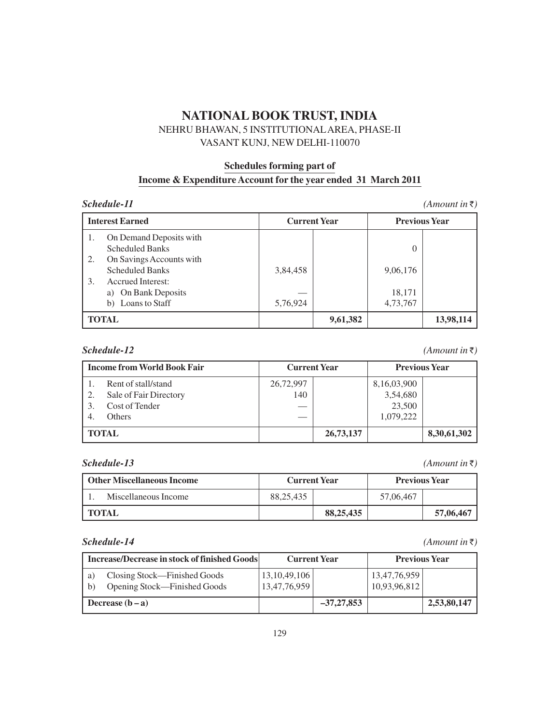## NEHRU BHAWAN, 5 INSTITUTIONALAREA, PHASE-II VASANT KUNJ, NEW DELHI-110070

# **Schedules forming part of Income & Expenditure Account for the year ended 31 March 2011**

#### *(Amount in*  $\bar{\tau}$ **)**

|          | <b>Interest Earned</b>                                                  | <b>Current Year</b> |          | <b>Previous Year</b> |           |
|----------|-------------------------------------------------------------------------|---------------------|----------|----------------------|-----------|
|          | On Demand Deposits with<br><b>Scheduled Banks</b>                       |                     |          |                      |           |
| 2.<br>3. | On Savings Accounts with<br><b>Scheduled Banks</b><br>Accrued Interest: | 3,84,458            |          | 9,06,176             |           |
|          | a) On Bank Deposits<br>b) Loans to Staff                                | 5,76,924            |          | 18,171<br>4,73,767   |           |
|          | <b>TOTAL</b>                                                            |                     | 9,61,382 |                      | 13,98,114 |

 **(Amount in**  $\bar{\tau}$ **)** 

| <b>Income from World Book Fair</b> |                        | <b>Current Year</b> |           | <b>Previous Year</b> |             |
|------------------------------------|------------------------|---------------------|-----------|----------------------|-------------|
|                                    | Rent of stall/stand    | 26,72,997           |           | 8,16,03,900          |             |
|                                    | Sale of Fair Directory | 140                 |           | 3,54,680             |             |
|                                    | Cost of Tender         |                     |           | 23,500               |             |
|                                    | <b>Others</b>          |                     |           | 1,079,222            |             |
|                                    | <b>TOTAL</b>           |                     | 26,73,137 |                      | 8,30,61,302 |

 **(Amount in**  $\bar{\tau}$ **)** 

| Other Miscellaneous Income | <b>Current Year</b> |             | <b>Previous Year</b> |           |
|----------------------------|---------------------|-------------|----------------------|-----------|
| Miscellaneous Income       | 88.25.435           |             | 57,06,467            |           |
| I TOTAL                    |                     | 88, 25, 435 |                      | 57,06,467 |

| <b>Increase/Decrease in stock of finished Goods</b> |                                                              | <b>Current Year</b>             |              | <b>Previous Year</b>         |             |
|-----------------------------------------------------|--------------------------------------------------------------|---------------------------------|--------------|------------------------------|-------------|
| a)<br>$\mathsf{h}$                                  | Closing Stock—Finished Goods<br>Opening Stock—Finished Goods | 13, 10, 49, 106<br>13,47,76,959 |              | 13,47,76,959<br>10,93,96,812 |             |
|                                                     | Decrease $(b - a)$                                           |                                 | $-37,27,853$ |                              | 2,53,80,147 |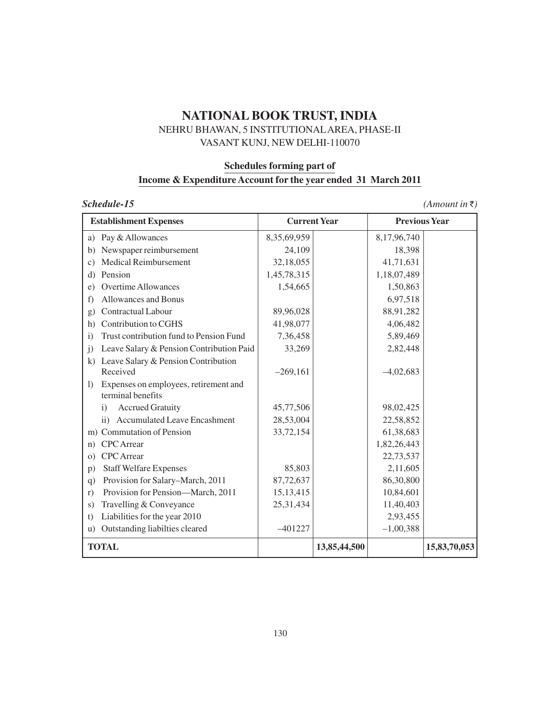## NEHRU BHAWAN, 5 INSTITUTIONALAREA, PHASE-II VASANT KUNJ, NEW DELHI-110070

# **Schedules forming part of Income & Expenditure Account for the year ended 31 March 2011**

| <b>Establishment Expenses</b>                                    | <b>Current Year</b> |              |             | <b>Previous Year</b> |  |
|------------------------------------------------------------------|---------------------|--------------|-------------|----------------------|--|
| a) Pay & Allowances                                              | 8,35,69,959         |              | 8,17,96,740 |                      |  |
| Newspaper reimbursement<br>b)                                    | 24,109              |              | 18,398      |                      |  |
| Medical Reimbursement<br>c)                                      | 32,18,055           |              | 41,71,631   |                      |  |
| Pension<br>d)                                                    | 1,45,78,315         |              | 1,18,07,489 |                      |  |
| <b>Overtime Allowances</b><br>e)                                 | 1,54,665            |              | 1,50,863    |                      |  |
| Allowances and Bonus<br>f)                                       |                     |              | 6,97,518    |                      |  |
| Contractual Labour<br>g)                                         | 89,96,028           |              | 88,91,282   |                      |  |
| Contribution to CGHS<br>h)                                       | 41,98,077           |              | 4,06,482    |                      |  |
| Trust contribution fund to Pension Fund<br>$\overline{1}$        | 7,36,458            |              | 5,89,469    |                      |  |
| Leave Salary & Pension Contribution Paid<br>$\mathbf{j}$         | 33,269              |              | 2,82,448    |                      |  |
| k) Leave Salary & Pension Contribution                           |                     |              |             |                      |  |
| Received                                                         | $-269,161$          |              | $-4,02,683$ |                      |  |
| Expenses on employees, retirement and<br>1)<br>terminal benefits |                     |              |             |                      |  |
| <b>Accrued Gratuity</b><br>$\ddot{1}$                            | 45,77,506           |              | 98,02,425   |                      |  |
| ii) Accumulated Leave Encashment                                 | 28,53,004           |              | 22,58,852   |                      |  |
| m) Commutation of Pension                                        | 33,72,154           |              | 61,38,683   |                      |  |
| <b>CPC</b> Arrear<br>n)                                          |                     |              | 1,82,26,443 |                      |  |
| <b>CPC</b> Arrear<br>$\Omega$                                    |                     |              | 22,73,537   |                      |  |
| <b>Staff Welfare Expenses</b><br>p)                              | 85,803              |              | 2,11,605    |                      |  |
| Provision for Salary-March, 2011<br>q)                           | 87,72,637           |              | 86,30,800   |                      |  |
| Provision for Pension-March, 2011<br>r)                          | 15, 13, 415         |              | 10,84,601   |                      |  |
| Travelling & Conveyance<br>S)                                    | 25,31,434           |              | 11,40,403   |                      |  |
| Liabilities for the year 2010<br>t)                              |                     |              | 2,93,455    |                      |  |
| Outstanding liabilties cleared<br>u)                             | $-401227$           |              | $-1,00,388$ |                      |  |
| <b>TOTAL</b>                                                     |                     | 13,85,44,500 |             | 15,83,70,053         |  |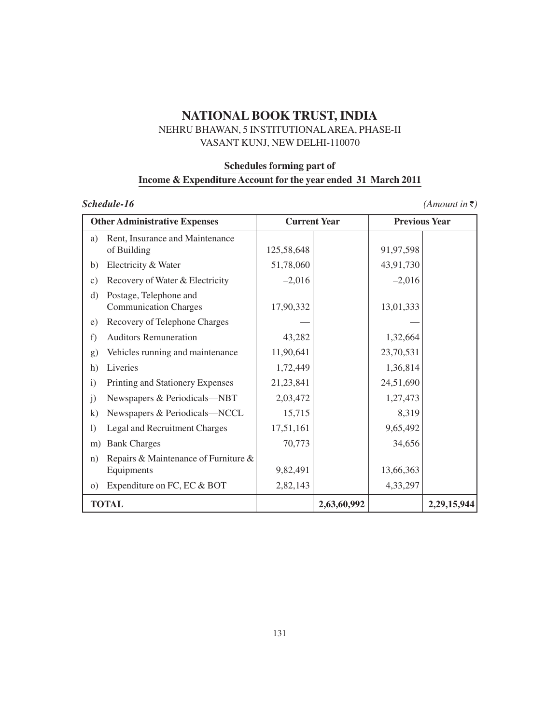## NEHRU BHAWAN, 5 INSTITUTIONALAREA, PHASE-II VASANT KUNJ, NEW DELHI-110070

# **Schedules forming part of Income & Expenditure Account for the year ended 31 March 2011**

## **(Amount in**  $\bar{z}$ **)**

| <b>Other Administrative Expenses</b>                               |                                      | <b>Current Year</b> |             | <b>Previous Year</b> |             |
|--------------------------------------------------------------------|--------------------------------------|---------------------|-------------|----------------------|-------------|
| Rent, Insurance and Maintenance<br>a)<br>of Building               |                                      | 125,58,648          |             | 91,97,598            |             |
| Electricity & Water<br>b)                                          |                                      | 51,78,060           |             | 43,91,730            |             |
| Recovery of Water & Electricity<br>$\mathcal{C}$ )                 |                                      | $-2,016$            |             | $-2,016$             |             |
| Postage, Telephone and<br>$\rm d)$<br><b>Communication Charges</b> |                                      | 17,90,332           |             | 13,01,333            |             |
| Recovery of Telephone Charges<br>e)                                |                                      |                     |             |                      |             |
| <b>Auditors Remuneration</b><br>f)                                 |                                      | 43,282              |             | 1,32,664             |             |
| g)                                                                 | Vehicles running and maintenance     | 11,90,641           |             | 23,70,531            |             |
| h)<br>Liveries                                                     |                                      | 1,72,449            |             | 1,36,814             |             |
| Printing and Stationery Expenses<br>$\mathbf{i}$                   |                                      | 21,23,841           |             | 24,51,690            |             |
| $\mathbf{j}$                                                       | Newspapers & Periodicals-NBT         | 2,03,472            |             | 1,27,473             |             |
| $\bf k)$                                                           | Newspapers & Periodicals-NCCL        | 15,715              |             | 8,319                |             |
| Legal and Recruitment Charges<br>$\left( \right)$                  |                                      | 17,51,161           |             | 9,65,492             |             |
| <b>Bank Charges</b><br>m)                                          |                                      | 70,773              |             | 34,656               |             |
| n)<br>Equipments                                                   | Repairs & Maintenance of Furniture & | 9,82,491            |             | 13,66,363            |             |
| Expenditure on FC, EC & BOT<br>$\circ$ )                           |                                      | 2,82,143            |             | 4,33,297             |             |
| <b>TOTAL</b>                                                       |                                      |                     | 2,63,60,992 |                      | 2,29,15,944 |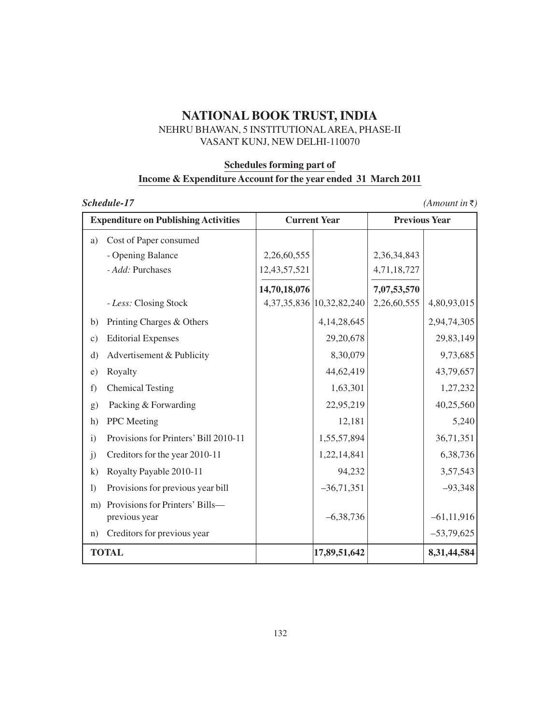## NEHRU BHAWAN, 5 INSTITUTIONALAREA, PHASE-II VASANT KUNJ, NEW DELHI-110070

#### **Schedules forming part of**

# **Income & Expenditure Account for the year ended 31 March 2011**

|                  | <b>Expenditure on Publishing Activities</b>      |              | <b>Current Year</b>            | <b>Previous Year</b> |                |
|------------------|--------------------------------------------------|--------------|--------------------------------|----------------------|----------------|
| a)               | Cost of Paper consumed                           |              |                                |                      |                |
|                  | - Opening Balance                                | 2,26,60,555  |                                | 2,36,34,843          |                |
|                  | - Add: Purchases                                 | 12,43,57,521 |                                | 4,71,18,727          |                |
|                  |                                                  | 14,70,18,076 |                                | 7,07,53,570          |                |
|                  | - Less: Closing Stock                            |              | 4, 37, 35, 836 10, 32, 82, 240 | 2,26,60,555          | 4,80,93,015    |
| b)               | Printing Charges & Others                        |              | 4, 14, 28, 645                 |                      | 2,94,74,305    |
| $\mathbf{c})$    | <b>Editorial Expenses</b>                        |              | 29,20,678                      |                      | 29,83,149      |
| $\rm d)$         | Advertisement & Publicity                        |              | 8,30,079                       |                      | 9,73,685       |
| e)               | Royalty                                          |              | 44,62,419                      |                      | 43,79,657      |
| f)               | <b>Chemical Testing</b>                          |              | 1,63,301                       |                      | 1,27,232       |
| g)               | Packing & Forwarding                             |              | 22,95,219                      |                      | 40,25,560      |
| h)               | PPC Meeting                                      |              | 12,181                         |                      | 5,240          |
| $\mathbf{i}$     | Provisions for Printers' Bill 2010-11            |              | 1,55,57,894                    |                      | 36,71,351      |
| j)               | Creditors for the year 2010-11                   |              | 1,22,14,841                    |                      | 6,38,736       |
| $\bf k)$         | Royalty Payable 2010-11                          |              | 94,232                         |                      | 3,57,543       |
| $\left( \right)$ | Provisions for previous year bill                |              | $-36,71,351$                   |                      | $-93,348$      |
| m)               | Provisions for Printers' Bills-<br>previous year |              | $-6,38,736$                    |                      | $-61, 11, 916$ |
| n)               | Creditors for previous year                      |              |                                |                      | $-53,79,625$   |
|                  | <b>TOTAL</b>                                     |              | 17,89,51,642                   |                      | 8,31,44,584    |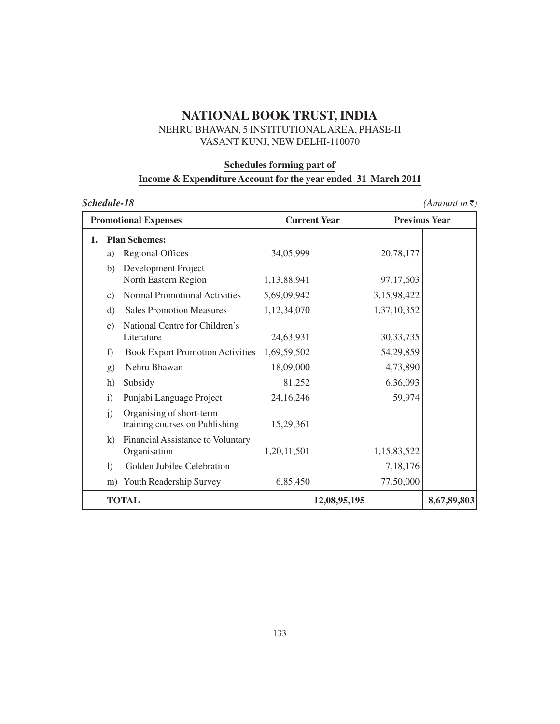## NEHRU BHAWAN, 5 INSTITUTIONALAREA, PHASE-II VASANT KUNJ, NEW DELHI-110070

#### **Schedules forming part of**

# **Income & Expenditure Account for the year ended 31 March 2011**

|  | Schedule-18 |  |
|--|-------------|--|
|  |             |  |

 $(Amount in \bar{z})$ 

| <b>Promotional Expenses</b> |                 | <b>Current Year</b>                                        |             | <b>Previous Year</b> |             |             |
|-----------------------------|-----------------|------------------------------------------------------------|-------------|----------------------|-------------|-------------|
| 1.                          |                 | <b>Plan Schemes:</b>                                       |             |                      |             |             |
|                             | a)              | <b>Regional Offices</b>                                    | 34,05,999   |                      | 20,78,177   |             |
|                             | b)              | Development Project-<br>North Eastern Region               | 1,13,88,941 |                      | 97,17,603   |             |
|                             | $\mathcal{C}$ ) | <b>Normal Promotional Activities</b>                       | 5,69,09,942 |                      | 3,15,98,422 |             |
|                             | d)              | <b>Sales Promotion Measures</b>                            | 1,12,34,070 |                      | 1,37,10,352 |             |
|                             | e)              | National Centre for Children's<br>Literature               | 24,63,931   |                      | 30, 33, 735 |             |
|                             | f)              | <b>Book Export Promotion Activities</b>                    | 1,69,59,502 |                      | 54,29,859   |             |
|                             | g)              | Nehru Bhawan                                               | 18,09,000   |                      | 4,73,890    |             |
|                             | h)              | Subsidy                                                    | 81,252      |                      | 6,36,093    |             |
|                             | $\ddot{1}$      | Punjabi Language Project                                   | 24,16,246   |                      | 59,974      |             |
|                             | j)              | Organising of short-term<br>training courses on Publishing | 15,29,361   |                      |             |             |
|                             | k)              | Financial Assistance to Voluntary<br>Organisation          | 1,20,11,501 |                      | 1,15,83,522 |             |
|                             | $\Gamma$        | Golden Jubilee Celebration                                 |             |                      | 7,18,176    |             |
|                             | m)              | Youth Readership Survey                                    | 6,85,450    |                      | 77,50,000   |             |
|                             |                 | <b>TOTAL</b>                                               |             | 12,08,95,195         |             | 8,67,89,803 |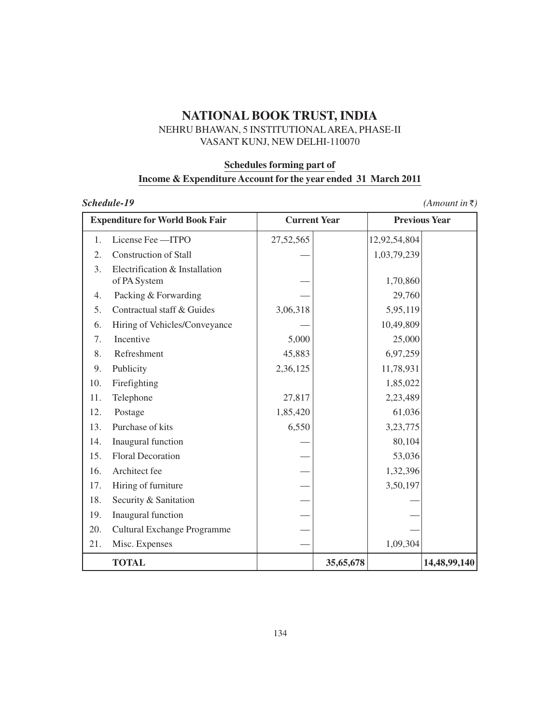## NEHRU BHAWAN, 5 INSTITUTIONALAREA, PHASE-II VASANT KUNJ, NEW DELHI-110070

#### **Schedules forming part of**

# **Income & Expenditure Account for the year ended 31 March 2011**

| <b>Expenditure for World Book Fair</b> |                                                | <b>Current Year</b> |           | <b>Previous Year</b> |              |
|----------------------------------------|------------------------------------------------|---------------------|-----------|----------------------|--------------|
| 1.                                     | License Fee - ITPO                             | 27,52,565           |           | 12,92,54,804         |              |
| 2.                                     | <b>Construction of Stall</b>                   |                     |           | 1,03,79,239          |              |
| 3.                                     | Electrification & Installation<br>of PA System |                     |           | 1,70,860             |              |
| 4.                                     | Packing & Forwarding                           |                     |           | 29,760               |              |
| 5.                                     | Contractual staff & Guides                     | 3,06,318            |           | 5,95,119             |              |
| 6.                                     | Hiring of Vehicles/Conveyance                  |                     |           | 10,49,809            |              |
| 7.                                     | Incentive                                      | 5,000               |           | 25,000               |              |
| 8.                                     | Refreshment                                    | 45,883              |           | 6,97,259             |              |
| 9.                                     | Publicity                                      | 2,36,125            |           | 11,78,931            |              |
| 10.                                    | Firefighting                                   |                     |           | 1,85,022             |              |
| 11.                                    | Telephone                                      | 27,817              |           | 2,23,489             |              |
| 12.                                    | Postage                                        | 1,85,420            |           | 61,036               |              |
| 13.                                    | Purchase of kits                               | 6,550               |           | 3,23,775             |              |
| 14.                                    | Inaugural function                             |                     |           | 80,104               |              |
| 15.                                    | <b>Floral Decoration</b>                       |                     |           | 53,036               |              |
| 16.                                    | Architect fee                                  |                     |           | 1,32,396             |              |
| 17.                                    | Hiring of furniture                            |                     |           | 3,50,197             |              |
| 18.                                    | Security & Sanitation                          |                     |           |                      |              |
| 19.                                    | Inaugural function                             |                     |           |                      |              |
| 20.                                    | Cultural Exchange Programme                    |                     |           |                      |              |
| 21.                                    | Misc. Expenses                                 |                     |           | 1,09,304             |              |
|                                        | <b>TOTAL</b>                                   |                     | 35,65,678 |                      | 14,48,99,140 |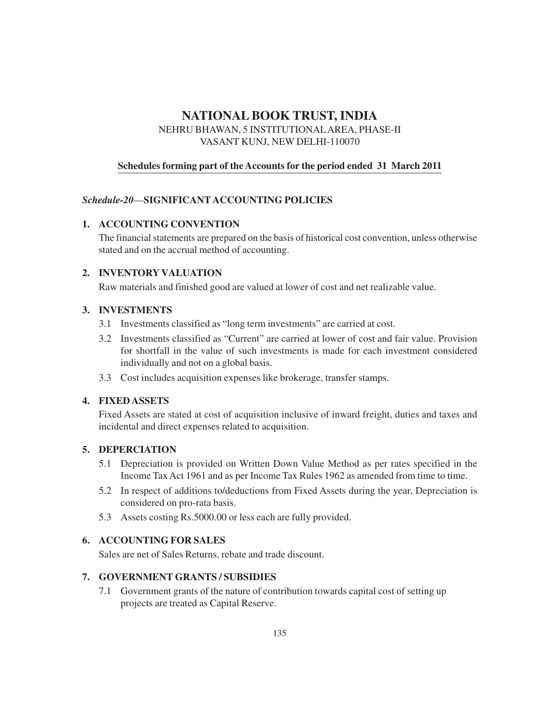NEHRU BHAWAN, 5 INSTITUTIONALAREA, PHASE-II VASANT KUNJ, NEW DELHI-110070

## **Schedules forming part of the Accounts for the period ended 31 March 2011**

## *Schedule-20*—**SIGNIFICANT ACCOUNTING POLICIES**

## **1. ACCOUNTING CONVENTION**

The financial statements are prepared on the basis of historical cost convention, unless otherwise stated and on the accrual method of accounting.

## **2. INVENTORY VALUATION**

Raw materials and finished good are valued at lower of cost and net realizable value.

### **3. INVESTMENTS**

- 3.1 Investments classified as "long term investments" are carried at cost.
- 3.2 Investments classified as "Current" are carried at lower of cost and fair value. Provision for shortfall in the value of such investments is made for each investment considered individually and not on a global basis.
- 3.3 Cost includes acquisition expenses like brokerage, transfer stamps.

### **4. FIXED ASSETS**

Fixed Assets are stated at cost of acquisition inclusive of inward freight, duties and taxes and incidental and direct expenses related to acquisition.

## **5. DEPERCIATION**

- 5.1 Depreciation is provided on Written Down Value Method as per rates specified in the Income Tax Act 1961 and as per Income Tax Rules 1962 as amended from time to time.
- 5.2 In respect of additions to/deductions from Fixed Assets during the year, Depreciation is considered on pro-rata basis.
- 5.3 Assets costing Rs.5000.00 or less each are fully provided.

### **6. ACCOUNTING FOR SALES**

Sales are net of Sales Returns, rebate and trade discount.

### **7. GOVERNMENT GRANTS / SUBSIDIES**

7.1 Government grants of the nature of contribution towards capital cost of setting up projects are treated as Capital Reserve.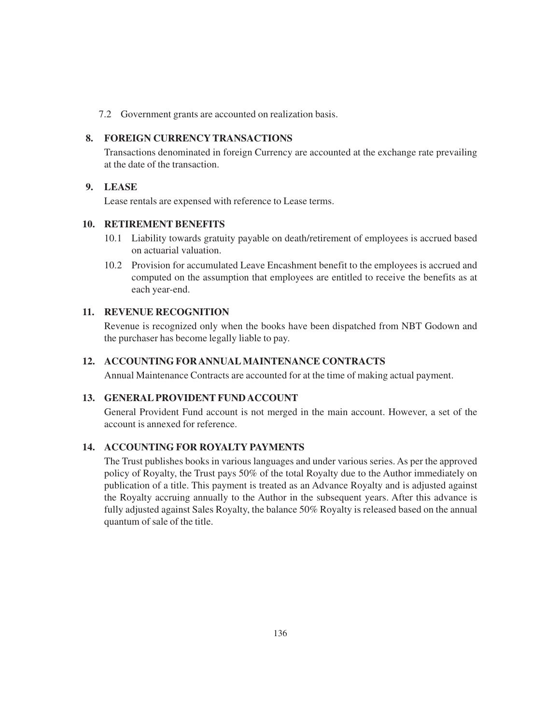7.2 Government grants are accounted on realization basis.

#### **8. FOREIGN CURRENCY TRANSACTIONS**

Transactions denominated in foreign Currency are accounted at the exchange rate prevailing at the date of the transaction.

### **9. LEASE**

Lease rentals are expensed with reference to Lease terms.

### **10. RETIREMENT BENEFITS**

- 10.1 Liability towards gratuity payable on death/retirement of employees is accrued based on actuarial valuation.
- 10.2 Provision for accumulated Leave Encashment benefit to the employees is accrued and computed on the assumption that employees are entitled to receive the benefits as at each year-end.

### **11. REVENUE RECOGNITION**

Revenue is recognized only when the books have been dispatched from NBT Godown and the purchaser has become legally liable to pay.

#### **12. ACCOUNTING FOR ANNUAL MAINTENANCE CONTRACTS**

Annual Maintenance Contracts are accounted for at the time of making actual payment.

#### **13. GENERAL PROVIDENT FUND ACCOUNT**

General Provident Fund account is not merged in the main account. However, a set of the account is annexed for reference.

## **14. ACCOUNTING FOR ROYALTY PAYMENTS**

The Trust publishes books in various languages and under various series. As per the approved policy of Royalty, the Trust pays 50% of the total Royalty due to the Author immediately on publication of a title. This payment is treated as an Advance Royalty and is adjusted against the Royalty accruing annually to the Author in the subsequent years. After this advance is fully adjusted against Sales Royalty, the balance 50% Royalty is released based on the annual quantum of sale of the title.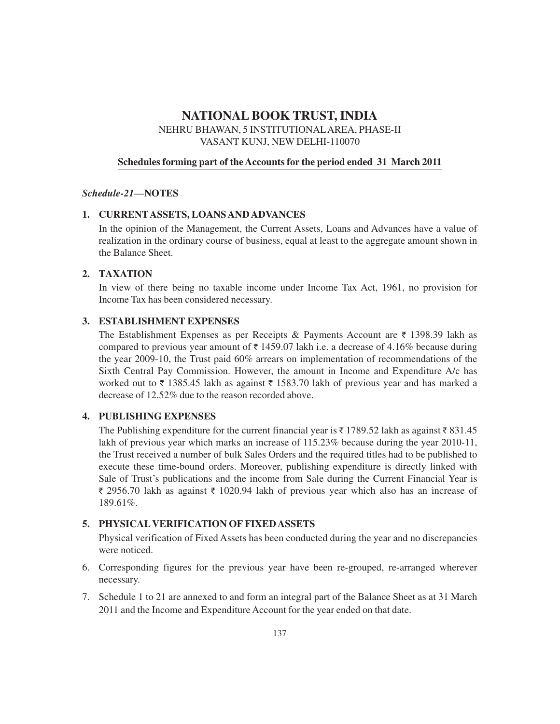NEHRU BHAWAN, 5 INSTITUTIONALAREA, PHASE-II VASANT KUNJ, NEW DELHI-110070

#### **Schedules forming part of the Accounts for the period ended 31 March 2011**

#### *Schedule-21*—**NOTES**

#### **1. CURRENTASSETS, LOANS AND ADVANCES**

In the opinion of the Management, the Current Assets, Loans and Advances have a value of realization in the ordinary course of business, equal at least to the aggregate amount shown in the Balance Sheet.

#### **2. TAXATION**

In view of there being no taxable income under Income Tax Act, 1961, no provision for Income Tax has been considered necessary.

#### **3. ESTABLISHMENT EXPENSES**

The Establishment Expenses as per Receipts & Payments Account are  $\bar{\tau}$  1398.39 lakh as compared to previous year amount of  $\bar{\tau}$  1459.07 lakh i.e. a decrease of 4.16% because during the year 2009-10, the Trust paid 60% arrears on implementation of recommendations of the Sixth Central Pay Commission. However, the amount in Income and Expenditure A/c has worked out to  $\bar{\tau}$  1385.45 lakh as against  $\bar{\tau}$  1583.70 lakh of previous year and has marked a decrease of 12.52% due to the reason recorded above.

#### **4. PUBLISHING EXPENSES**

The Publishing expenditure for the current financial year is  $\bar{\tau}$  1789.52 lakh as against  $\bar{\tau}$  831.45 lakh of previous year which marks an increase of 115.23% because during the year 2010-11, the Trust received a number of bulk Sales Orders and the required titles had to be published to execute these time-bound orders. Moreover, publishing expenditure is directly linked with Sale of Trust's publications and the income from Sale during the Current Financial Year is  $\bar{\tau}$  2956.70 lakh as against  $\bar{\tau}$  1020.94 lakh of previous year which also has an increase of 189.61%.

### **5. PHYSICALVERIFICATION OF FIXED ASSETS**

Physical verification of Fixed Assets has been conducted during the year and no discrepancies were noticed.

- 6. Corresponding figures for the previous year have been re-grouped, re-arranged wherever necessary.
- 7. Schedule 1 to 21 are annexed to and form an integral part of the Balance Sheet as at 31 March 2011 and the Income and Expenditure Account for the year ended on that date.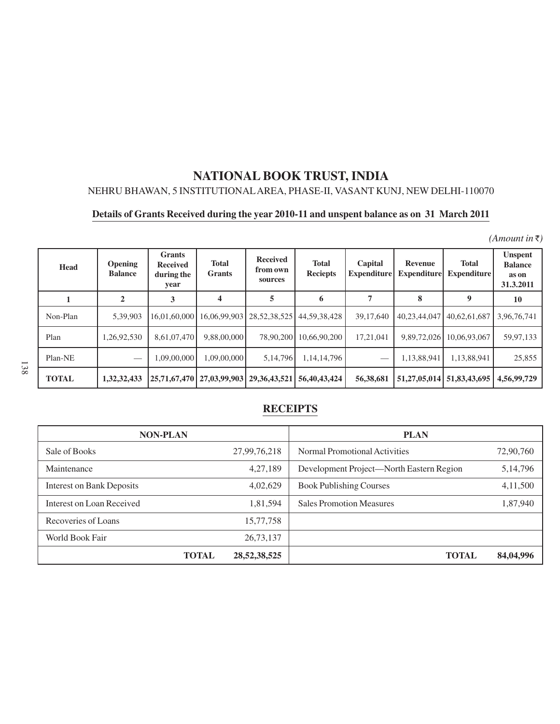# NEHRU BHAWAN, 5 INSTITUTIONALAREA, PHASE-II, VASANT KUNJ, NEW DELHI-110070

# **Details of Grants Received during the year 2010-11 and unspent balance as on 31 March 2011**

 $(A$ *mount in*  $\bar{\tau}$ )

| <b>Head</b>  | Opening<br><b>Balance</b> | <b>Grants</b><br><b>Received</b><br>during the<br>year | <b>Total</b><br><b>Grants</b> | <b>Received</b><br>from own<br>sources | <b>Total</b><br><b>Reciepts</b> | Capital<br><b>Expenditure</b> | Revenue<br><b>Expenditure</b> | <b>Total</b><br><b>Expenditure</b> | <b>Unspent</b><br><b>Balance</b><br>as on<br>31.3.2011 |
|--------------|---------------------------|--------------------------------------------------------|-------------------------------|----------------------------------------|---------------------------------|-------------------------------|-------------------------------|------------------------------------|--------------------------------------------------------|
|              | 2                         | 3                                                      | 4                             | 5                                      | 6                               | $\overline{7}$                | 8                             | 9                                  | 10                                                     |
| Non-Plan     | 5.39.903                  | 16.01.60.000                                           | 16.06.99.903                  | 28, 52, 38, 525                        | 44,59,38,428                    | 39,17,640                     | 40,23,44,047                  | 40.62.61.687                       | 3,96,76,741                                            |
| Plan         | 1,26,92,530               | 8,61,07,470                                            | 9.88.00.000                   | 78,90,200                              | 10.66.90.200                    | 17,21,041                     | 9,89,72,026                   | 10.06.93.067                       | 59,97,133                                              |
| Plan-NE      |                           | 1.09.00.000                                            | 1.09.00.000                   | 5,14,796                               | 1.14.14.796                     |                               | 1,13,88,941                   | 1,13,88,941                        | 25,855                                                 |
| <b>TOTAL</b> | 1,32,32,433               |                                                        | 25,71,67,470   27,03,99,903   | 29, 36, 43, 521                        | 56,40,43,424                    | 56,38,681                     | 51,27,05,014 51,83,43,695     |                                    | 4.56,99,729                                            |

# **RECEIPTS**

| <b>NON-PLAN</b>                  |              |                 | <b>PLAN</b>                              |            |
|----------------------------------|--------------|-----------------|------------------------------------------|------------|
| Sale of Books                    |              | 27,99,76,218    | Normal Promotional Activities            | 72,90,760  |
| Maintenance                      |              | 4,27,189        | Development Project—North Eastern Region | 5, 14, 796 |
| <b>Interest on Bank Deposits</b> |              | 4,02,629        | <b>Book Publishing Courses</b>           | 4,11,500   |
| Interest on Loan Received        |              | 1,81,594        | <b>Sales Promotion Measures</b>          | 1,87,940   |
| Recoveries of Loans              |              | 15,77,758       |                                          |            |
| World Book Fair                  |              | 26,73,137       |                                          |            |
|                                  | <b>TOTAL</b> | 28, 52, 38, 525 | <b>TOTAL</b>                             | 84,04,996  |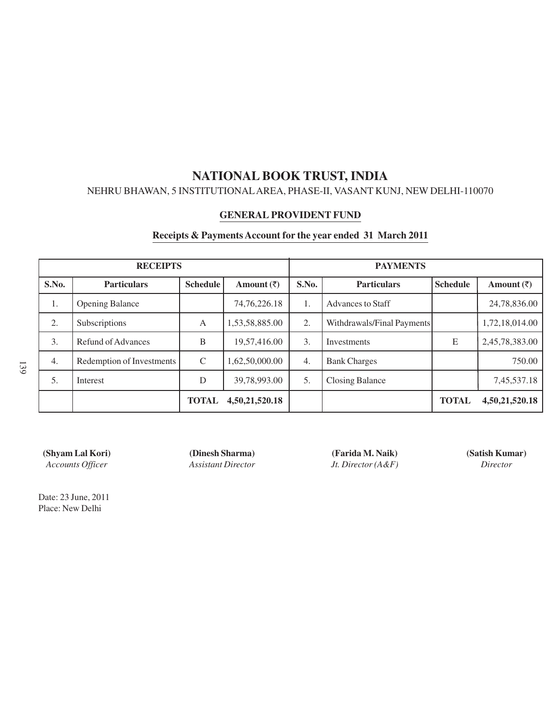## NEHRU BHAWAN, 5 INSTITUTIONALAREA, PHASE-II, VASANT KUNJ, NEW DELHI-110070

#### **GENERAL PROVIDENT FUND**

#### **Receipts & Payments Account for the year ended 31 March 2011**

| <b>RECEIPTS</b> |                           |                 |                       | <b>PAYMENTS</b>  |                            |                 |                        |
|-----------------|---------------------------|-----------------|-----------------------|------------------|----------------------------|-----------------|------------------------|
| S.No.           | <b>Particulars</b>        | <b>Schedule</b> | Amount $(\bar{\tau})$ | S.No.            | <b>Particulars</b>         | <b>Schedule</b> | Amount $(\bar{\zeta})$ |
| 1.              | <b>Opening Balance</b>    |                 | 74, 76, 226. 18       | 1.               | <b>Advances to Staff</b>   |                 | 24,78,836.00           |
| 2.              | Subscriptions             | A               | 1,53,58,885.00        | 2.               | Withdrawals/Final Payments |                 | 1,72,18,014.00         |
| 3.              | Refund of Advances        | B               | 19,57,416.00          | 3.               | Investments                | E               | 2,45,78,383.00         |
| 4.              | Redemption of Investments | $\mathcal{C}$   | 1,62,50,000.00        | $\overline{4}$ . | <b>Bank Charges</b>        |                 | 750.00                 |
| 5.              | Interest                  | D               | 39,78,993.00          | 5.               | <b>Closing Balance</b>     |                 | 7,45,537.18            |
|                 |                           | <b>TOTAL</b>    | 4,50,21,520.18        |                  |                            | <b>TOTAL</b>    | 4,50,21,520.18         |

**(Shyam Lal Kori) (Dinesh Sharma) (Farida M. Naik) (Satish Kumar)** *Accounts Officer Assistant Director Jt. Director (A&F) Director*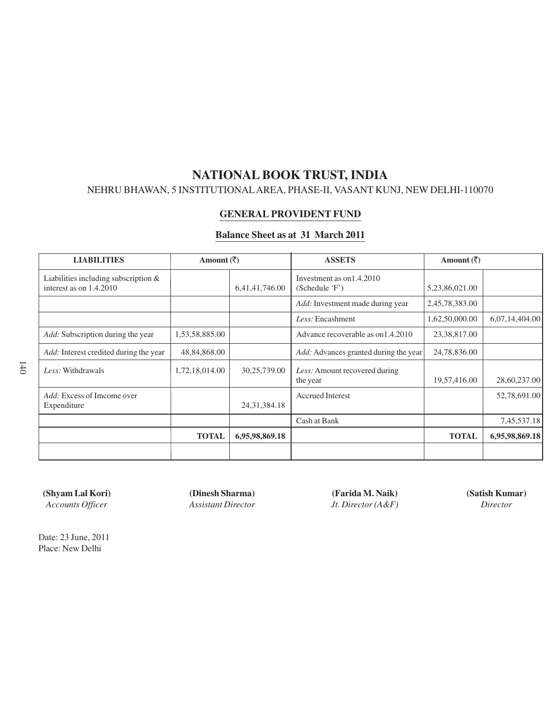## NEHRU BHAWAN, 5 INSTITUTIONALAREA, PHASE-II, VASANT KUNJ, NEW DELHI-110070

#### **GENERAL PROVIDENT FUND**

#### **Balance Sheet as at 31 March 2011**

| <b>LIABILITIES</b>                                              | Amount $(\overline{\zeta})$ |                 | <b>ASSETS</b>                                | Amount $(\overline{\zeta})$ |                |
|-----------------------------------------------------------------|-----------------------------|-----------------|----------------------------------------------|-----------------------------|----------------|
| Liabilities including subscription &<br>interest as on 1.4.2010 |                             | 6,41,41,746.00  | Investment as on 1.4.2010<br>(Schedule 'F')  | 5,23,86,021.00              |                |
|                                                                 |                             |                 | <i>Add:</i> Investment made during year      | 2,45,78,383.00              |                |
|                                                                 |                             |                 | Less: Encashment                             | 1,62,50,000.00              | 6,07,14,404.00 |
| <i>Add:</i> Subscription during the year                        | 1,53,58,885.00              |                 | Advance recoverable as on 1.4.2010           | 23,38,817.00                |                |
| Add: Interest credited during the year                          | 48,84,868.00                |                 | <i>Add:</i> Advances granted during the year | 24,78,836.00                |                |
| Less: Withdrawals                                               | 1,72,18,014.00              | 30,25,739.00    | Less: Amount recovered during<br>the year    | 19,57,416.00                | 28,60,237.00   |
| <i>Add:</i> Excess of Imcome over<br>Expenditure                |                             | 24, 31, 384. 18 | <b>Accrued Interest</b>                      |                             | 52,78,691.00   |
|                                                                 |                             |                 | Cash at Bank                                 |                             | 7,45,537.18    |
|                                                                 | <b>TOTAL</b>                | 6,95,98,869.18  |                                              | <b>TOTAL</b>                | 6,95,98,869.18 |
|                                                                 |                             |                 |                                              |                             |                |

**(Shyam Lal Kori) (Dinesh Sharma) (Farida M. Naik) (Satish Kumar)** *Accounts Officer Assistant Director Jt. Director (A&F) Director*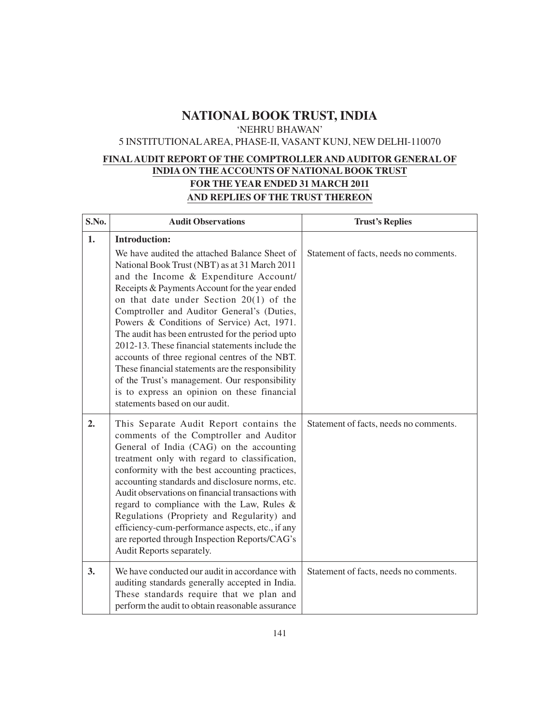'NEHRU BHAWAN'

### 5 INSTITUTIONALAREA, PHASE-II, VASANT KUNJ, NEW DELHI-110070

## **FINALAUDIT REPORT OF THE COMPTROLLER AND AUDITOR GENERAL OF INDIA ON THE ACCOUNTS OF NATIONAL BOOK TRUST FOR THE YEAR ENDED 31 MARCH 2011 AND REPLIES OF THE TRUST THEREON**

| S.No. | <b>Audit Observations</b>                                                                                                                                                                                                                                                                                                                                                                                                                                                                                                                                                                                                                                                                                  | <b>Trust's Replies</b>                 |
|-------|------------------------------------------------------------------------------------------------------------------------------------------------------------------------------------------------------------------------------------------------------------------------------------------------------------------------------------------------------------------------------------------------------------------------------------------------------------------------------------------------------------------------------------------------------------------------------------------------------------------------------------------------------------------------------------------------------------|----------------------------------------|
| 1.    | <b>Introduction:</b><br>We have audited the attached Balance Sheet of<br>National Book Trust (NBT) as at 31 March 2011<br>and the Income & Expenditure Account/<br>Receipts & Payments Account for the year ended<br>on that date under Section $20(1)$ of the<br>Comptroller and Auditor General's (Duties,<br>Powers & Conditions of Service) Act, 1971.<br>The audit has been entrusted for the period upto<br>2012-13. These financial statements include the<br>accounts of three regional centres of the NBT.<br>These financial statements are the responsibility<br>of the Trust's management. Our responsibility<br>is to express an opinion on these financial<br>statements based on our audit. | Statement of facts, needs no comments. |
| 2.    | This Separate Audit Report contains the<br>comments of the Comptroller and Auditor<br>General of India (CAG) on the accounting<br>treatment only with regard to classification,<br>conformity with the best accounting practices,<br>accounting standards and disclosure norms, etc.<br>Audit observations on financial transactions with<br>regard to compliance with the Law, Rules &<br>Regulations (Propriety and Regularity) and<br>efficiency-cum-performance aspects, etc., if any<br>are reported through Inspection Reports/CAG's<br>Audit Reports separately.                                                                                                                                    | Statement of facts, needs no comments. |
| 3.    | We have conducted our audit in accordance with<br>auditing standards generally accepted in India.<br>These standards require that we plan and<br>perform the audit to obtain reasonable assurance                                                                                                                                                                                                                                                                                                                                                                                                                                                                                                          | Statement of facts, needs no comments. |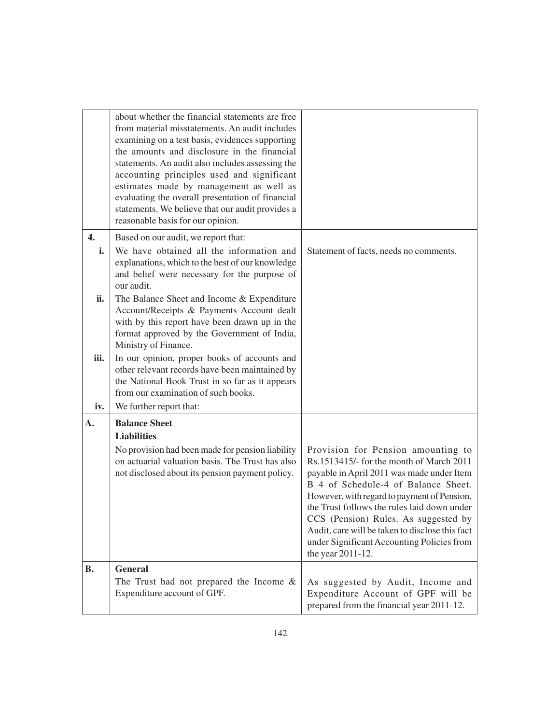|                    | about whether the financial statements are free<br>from material misstatements. An audit includes<br>examining on a test basis, evidences supporting<br>the amounts and disclosure in the financial<br>statements. An audit also includes assessing the<br>accounting principles used and significant |                                                                                                                                                                                                                                                                                                                                                                                                                                |
|--------------------|-------------------------------------------------------------------------------------------------------------------------------------------------------------------------------------------------------------------------------------------------------------------------------------------------------|--------------------------------------------------------------------------------------------------------------------------------------------------------------------------------------------------------------------------------------------------------------------------------------------------------------------------------------------------------------------------------------------------------------------------------|
|                    | estimates made by management as well as<br>evaluating the overall presentation of financial<br>statements. We believe that our audit provides a<br>reasonable basis for our opinion.                                                                                                                  |                                                                                                                                                                                                                                                                                                                                                                                                                                |
| $\mathbf{4}$<br>i. | Based on our audit, we report that:<br>We have obtained all the information and<br>explanations, which to the best of our knowledge<br>and belief were necessary for the purpose of<br>our audit.                                                                                                     | Statement of facts, needs no comments.                                                                                                                                                                                                                                                                                                                                                                                         |
| ii.                | The Balance Sheet and Income & Expenditure<br>Account/Receipts & Payments Account dealt<br>with by this report have been drawn up in the<br>format approved by the Government of India,<br>Ministry of Finance.                                                                                       |                                                                                                                                                                                                                                                                                                                                                                                                                                |
| iii.<br>iv.        | In our opinion, proper books of accounts and<br>other relevant records have been maintained by<br>the National Book Trust in so far as it appears<br>from our examination of such books.<br>We further report that:                                                                                   |                                                                                                                                                                                                                                                                                                                                                                                                                                |
| А.                 | <b>Balance Sheet</b>                                                                                                                                                                                                                                                                                  |                                                                                                                                                                                                                                                                                                                                                                                                                                |
|                    | <b>Liabilities</b><br>No provision had been made for pension liability<br>on actuarial valuation basis. The Trust has also<br>not disclosed about its pension payment policy.                                                                                                                         | Provision for Pension amounting to<br>Rs.1513415/- for the month of March 2011<br>payable in April 2011 was made under Item<br>B 4 of Schedule-4 of Balance Sheet.<br>However, with regard to payment of Pension,<br>the Trust follows the rules laid down under<br>CCS (Pension) Rules. As suggested by<br>Audit, care will be taken to disclose this fact<br>under Significant Accounting Policies from<br>the year 2011-12. |
| В.                 | <b>General</b><br>The Trust had not prepared the Income $\&$                                                                                                                                                                                                                                          | As suggested by Audit, Income and                                                                                                                                                                                                                                                                                                                                                                                              |
|                    | Expenditure account of GPF.                                                                                                                                                                                                                                                                           | Expenditure Account of GPF will be<br>prepared from the financial year 2011-12.                                                                                                                                                                                                                                                                                                                                                |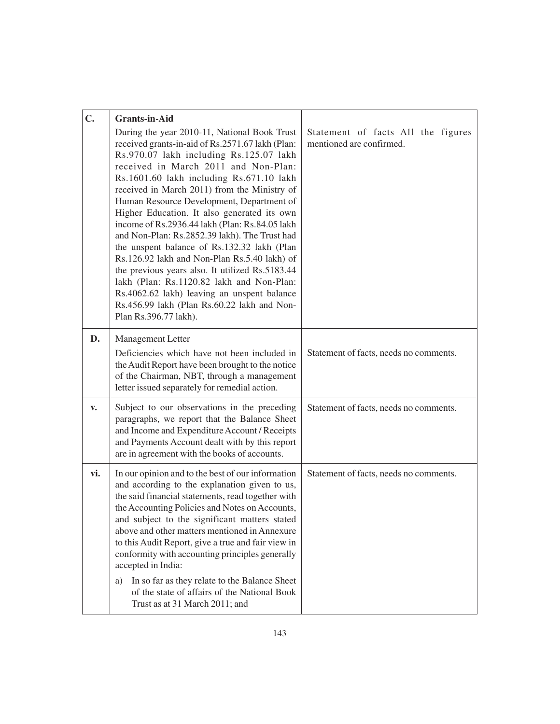| $C_{\bullet}$ | <b>Grants-in-Aid</b><br>During the year 2010-11, National Book Trust<br>received grants-in-aid of Rs.2571.67 lakh (Plan:<br>Rs.970.07 lakh including Rs.125.07 lakh<br>received in March 2011 and Non-Plan:<br>Rs.1601.60 lakh including Rs.671.10 lakh<br>received in March 2011) from the Ministry of<br>Human Resource Development, Department of<br>Higher Education. It also generated its own<br>income of Rs.2936.44 lakh (Plan: Rs.84.05 lakh<br>and Non-Plan: Rs.2852.39 lakh). The Trust had<br>the unspent balance of Rs.132.32 lakh (Plan<br>Rs.126.92 lakh and Non-Plan Rs.5.40 lakh) of<br>the previous years also. It utilized Rs.5183.44 | Statement of facts-All the figures<br>mentioned are confirmed. |
|---------------|----------------------------------------------------------------------------------------------------------------------------------------------------------------------------------------------------------------------------------------------------------------------------------------------------------------------------------------------------------------------------------------------------------------------------------------------------------------------------------------------------------------------------------------------------------------------------------------------------------------------------------------------------------|----------------------------------------------------------------|
|               | lakh (Plan: Rs.1120.82 lakh and Non-Plan:<br>Rs.4062.62 lakh) leaving an unspent balance<br>Rs.456.99 lakh (Plan Rs.60.22 lakh and Non-<br>Plan Rs.396.77 lakh).                                                                                                                                                                                                                                                                                                                                                                                                                                                                                         |                                                                |
| D.            | Management Letter<br>Deficiencies which have not been included in<br>the Audit Report have been brought to the notice<br>of the Chairman, NBT, through a management<br>letter issued separately for remedial action.                                                                                                                                                                                                                                                                                                                                                                                                                                     | Statement of facts, needs no comments.                         |
| v.            | Subject to our observations in the preceding<br>paragraphs, we report that the Balance Sheet<br>and Income and Expenditure Account / Receipts<br>and Payments Account dealt with by this report<br>are in agreement with the books of accounts.                                                                                                                                                                                                                                                                                                                                                                                                          | Statement of facts, needs no comments.                         |
| vi.           | In our opinion and to the best of our information<br>and according to the explanation given to us,<br>the said financial statements, read together with<br>the Accounting Policies and Notes on Accounts,<br>and subject to the significant matters stated<br>above and other matters mentioned in Annexure<br>to this Audit Report, give a true and fair view in<br>conformity with accounting principles generally<br>accepted in India:<br>In so far as they relate to the Balance Sheet<br>a)<br>of the state of affairs of the National Book<br>Trust as at 31 March 2011; and                                                                      | Statement of facts, needs no comments.                         |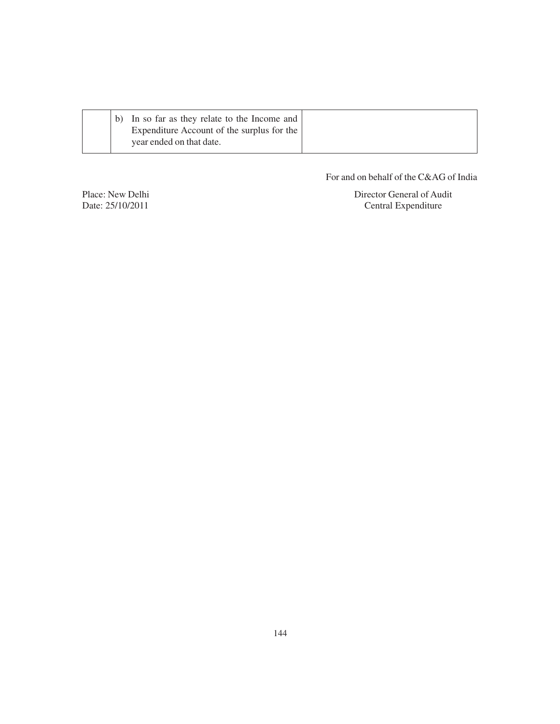| In so far as they relate to the Income and<br>Expenditure Account of the surplus for the |  |
|------------------------------------------------------------------------------------------|--|
| year ended on that date.                                                                 |  |

For and on behalf of the C&AG of India

Place: New Delhi Director General of Audit Date: 25/10/2011 Central Expenditure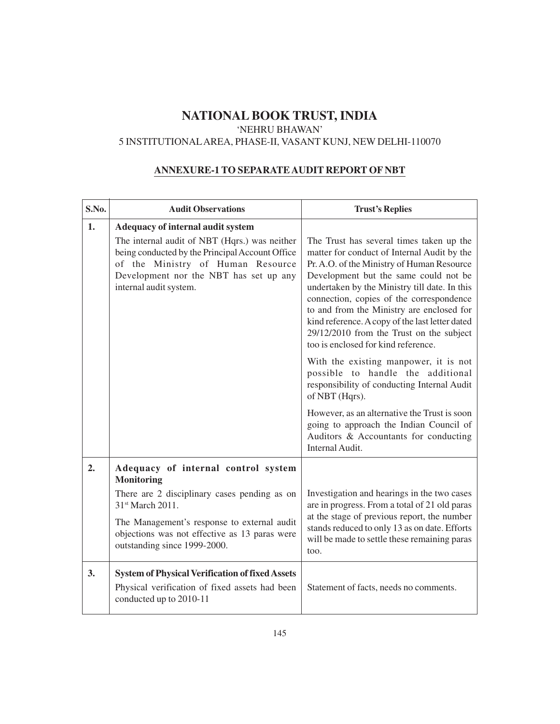#### 'NEHRU BHAWAN'

# 5 INSTITUTIONALAREA, PHASE-II, VASANT KUNJ, NEW DELHI-110070

#### **ANNEXURE-1 TO SEPARATE AUDIT REPORT OF NBT**

| S.No. | <b>Audit Observations</b>                                                                                                                                                                                 | <b>Trust's Replies</b>                                                                                                                                                                                                                                                                                                                                                                                                                                         |
|-------|-----------------------------------------------------------------------------------------------------------------------------------------------------------------------------------------------------------|----------------------------------------------------------------------------------------------------------------------------------------------------------------------------------------------------------------------------------------------------------------------------------------------------------------------------------------------------------------------------------------------------------------------------------------------------------------|
| 1.    | Adequacy of internal audit system                                                                                                                                                                         |                                                                                                                                                                                                                                                                                                                                                                                                                                                                |
|       | The internal audit of NBT (Hqrs.) was neither<br>being conducted by the Principal Account Office<br>of the Ministry of Human Resource<br>Development nor the NBT has set up any<br>internal audit system. | The Trust has several times taken up the<br>matter for conduct of Internal Audit by the<br>Pr. A.O. of the Ministry of Human Resource<br>Development but the same could not be<br>undertaken by the Ministry till date. In this<br>connection, copies of the correspondence<br>to and from the Ministry are enclosed for<br>kind reference. A copy of the last letter dated<br>29/12/2010 from the Trust on the subject<br>too is enclosed for kind reference. |
|       |                                                                                                                                                                                                           | With the existing manpower, it is not<br>possible to handle the additional<br>responsibility of conducting Internal Audit<br>of NBT (Hqrs).                                                                                                                                                                                                                                                                                                                    |
|       |                                                                                                                                                                                                           | However, as an alternative the Trust is soon<br>going to approach the Indian Council of<br>Auditors & Accountants for conducting<br>Internal Audit.                                                                                                                                                                                                                                                                                                            |
| 2.    | Adequacy of internal control system<br><b>Monitoring</b>                                                                                                                                                  |                                                                                                                                                                                                                                                                                                                                                                                                                                                                |
|       | There are 2 disciplinary cases pending as on<br>31 <sup>st</sup> March 2011.                                                                                                                              | Investigation and hearings in the two cases<br>are in progress. From a total of 21 old paras                                                                                                                                                                                                                                                                                                                                                                   |
|       | The Management's response to external audit<br>objections was not effective as 13 paras were<br>outstanding since 1999-2000.                                                                              | at the stage of previous report, the number<br>stands reduced to only 13 as on date. Efforts<br>will be made to settle these remaining paras<br>too.                                                                                                                                                                                                                                                                                                           |
| 3.    | <b>System of Physical Verification of fixed Assets</b><br>Physical verification of fixed assets had been<br>conducted up to 2010-11                                                                       | Statement of facts, needs no comments.                                                                                                                                                                                                                                                                                                                                                                                                                         |